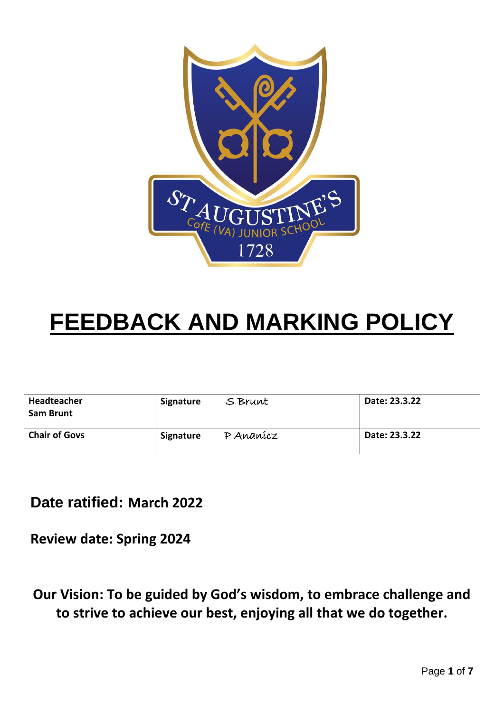

## **FEEDBACK AND MARKING POLICY**

| Headteacher<br><b>Sam Brunt</b> | Signature | Date: 23.3.22<br>S Brunt |               |
|---------------------------------|-----------|--------------------------|---------------|
| <b>Chair of Govs</b>            | Signature | P Ananícz                | Date: 23.3.22 |

**Date ratified: March 2022**

**Review date: Spring 2024**

**Our Vision: To be guided by God's wisdom, to embrace challenge and to strive to achieve our best, enjoying all that we do together.**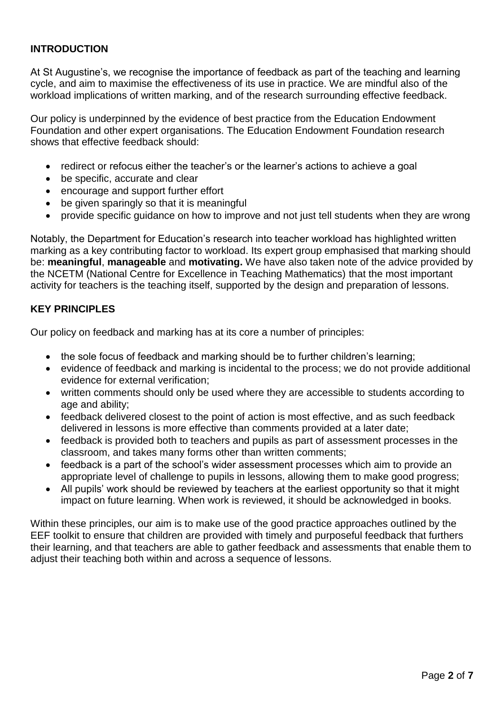#### **INTRODUCTION**

At St Augustine's, we recognise the importance of feedback as part of the teaching and learning cycle, and aim to maximise the effectiveness of its use in practice. We are mindful also of the workload implications of written marking, and of the research surrounding effective feedback.

Our policy is underpinned by the evidence of best practice from the Education Endowment Foundation and other expert organisations. The Education Endowment Foundation research shows that effective feedback should:

- redirect or refocus either the teacher's or the learner's actions to achieve a goal
- be specific, accurate and clear
- encourage and support further effort
- be given sparingly so that it is meaningful
- provide specific guidance on how to improve and not just tell students when they are wrong

Notably, the Department for Education's research into teacher workload has highlighted written marking as a key contributing factor to workload. Its expert group emphasised that marking should be: **meaningful**, **manageable** and **motivating.** We have also taken note of the advice provided by the NCETM (National Centre for Excellence in Teaching Mathematics) that the most important activity for teachers is the teaching itself, supported by the design and preparation of lessons.

#### **KEY PRINCIPLES**

Our policy on feedback and marking has at its core a number of principles:

- the sole focus of feedback and marking should be to further children's learning;
- evidence of feedback and marking is incidental to the process; we do not provide additional evidence for external verification;
- written comments should only be used where they are accessible to students according to age and ability;
- feedback delivered closest to the point of action is most effective, and as such feedback delivered in lessons is more effective than comments provided at a later date;
- feedback is provided both to teachers and pupils as part of assessment processes in the classroom, and takes many forms other than written comments;
- feedback is a part of the school's wider assessment processes which aim to provide an appropriate level of challenge to pupils in lessons, allowing them to make good progress;
- All pupils' work should be reviewed by teachers at the earliest opportunity so that it might impact on future learning. When work is reviewed, it should be acknowledged in books.

Within these principles, our aim is to make use of the good practice approaches outlined by the EEF toolkit to ensure that children are provided with timely and purposeful feedback that furthers their learning, and that teachers are able to gather feedback and assessments that enable them to adjust their teaching both within and across a sequence of lessons.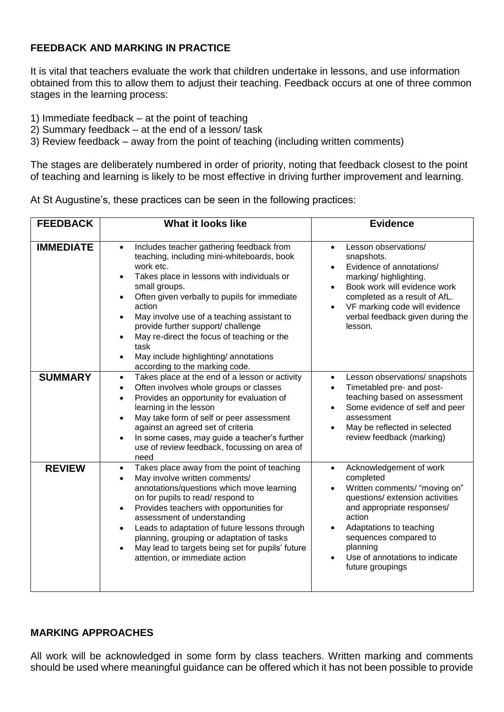#### **FEEDBACK AND MARKING IN PRACTICE**

It is vital that teachers evaluate the work that children undertake in lessons, and use information obtained from this to allow them to adjust their teaching. Feedback occurs at one of three common stages in the learning process:

- 1) Immediate feedback at the point of teaching
- 2) Summary feedback at the end of a lesson/ task
- 3) Review feedback away from the point of teaching (including written comments)

The stages are deliberately numbered in order of priority, noting that feedback closest to the point of teaching and learning is likely to be most effective in driving further improvement and learning.

| At St Augustine's, these practices can be seen in the following practices: |  |
|----------------------------------------------------------------------------|--|
|                                                                            |  |

| <b>FEEDBACK</b>  | <b>What it looks like</b>                                                                                                                                                                                                                                                                                                                                                                                                                                                                                                       | <b>Evidence</b>                                                                                                                                                                                                                                                                     |  |  |
|------------------|---------------------------------------------------------------------------------------------------------------------------------------------------------------------------------------------------------------------------------------------------------------------------------------------------------------------------------------------------------------------------------------------------------------------------------------------------------------------------------------------------------------------------------|-------------------------------------------------------------------------------------------------------------------------------------------------------------------------------------------------------------------------------------------------------------------------------------|--|--|
| <b>IMMEDIATE</b> | Includes teacher gathering feedback from<br>$\bullet$<br>teaching, including mini-whiteboards, book<br>work etc.<br>Takes place in lessons with individuals or<br>$\bullet$<br>small groups.<br>Often given verbally to pupils for immediate<br>$\bullet$<br>action<br>May involve use of a teaching assistant to<br>$\bullet$<br>provide further support/ challenge<br>May re-direct the focus of teaching or the<br>$\bullet$<br>task<br>May include highlighting/ annotations<br>$\bullet$<br>according to the marking code. | Lesson observations/<br>$\bullet$<br>snapshots.<br>Evidence of annotations/<br>marking/highlighting.<br>Book work will evidence work<br>completed as a result of AfL.<br>VF marking code will evidence<br>verbal feedback given during the<br>lesson.                               |  |  |
| <b>SUMMARY</b>   | Takes place at the end of a lesson or activity<br>$\bullet$<br>Often involves whole groups or classes<br>$\bullet$<br>Provides an opportunity for evaluation of<br>$\bullet$<br>learning in the lesson<br>May take form of self or peer assessment<br>$\bullet$<br>against an agreed set of criteria<br>In some cases, may guide a teacher's further<br>$\bullet$<br>use of review feedback, focussing on area of<br>need                                                                                                       | Lesson observations/ snapshots<br>$\bullet$<br>Timetabled pre- and post-<br>$\bullet$<br>teaching based on assessment<br>Some evidence of self and peer<br>assessment<br>May be reflected in selected<br>review feedback (marking)                                                  |  |  |
| <b>REVIEW</b>    | Takes place away from the point of teaching<br>$\bullet$<br>May involve written comments/<br>$\bullet$<br>annotations/questions which move learning<br>on for pupils to read/ respond to<br>Provides teachers with opportunities for<br>$\bullet$<br>assessment of understanding<br>Leads to adaptation of future lessons through<br>$\bullet$<br>planning, grouping or adaptation of tasks<br>May lead to targets being set for pupils' future<br>$\bullet$<br>attention, or immediate action                                  | Acknowledgement of work<br>$\bullet$<br>completed<br>Written comments/ "moving on"<br>questions/ extension activities<br>and appropriate responses/<br>action<br>Adaptations to teaching<br>sequences compared to<br>planning<br>Use of annotations to indicate<br>future groupings |  |  |

#### **MARKING APPROACHES**

All work will be acknowledged in some form by class teachers. Written marking and comments should be used where meaningful guidance can be offered which it has not been possible to provide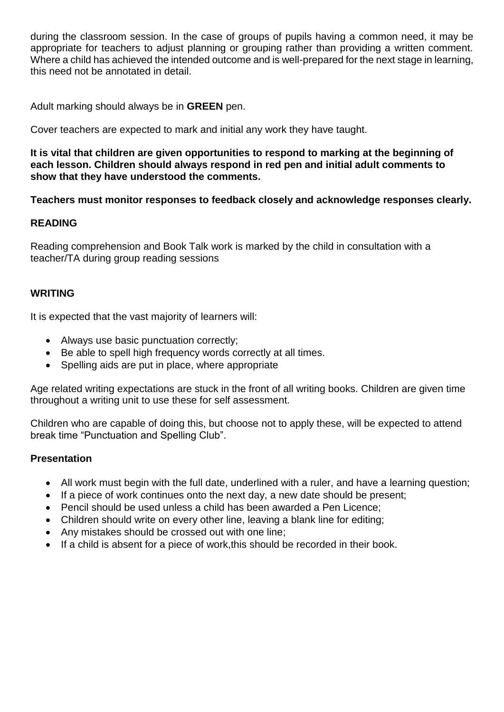during the classroom session. In the case of groups of pupils having a common need, it may be appropriate for teachers to adjust planning or grouping rather than providing a written comment. Where a child has achieved the intended outcome and is well-prepared for the next stage in learning, this need not be annotated in detail.

Adult marking should always be in **GREEN** pen.

Cover teachers are expected to mark and initial any work they have taught.

**It is vital that children are given opportunities to respond to marking at the beginning of each lesson. Children should always respond in red pen and initial adult comments to show that they have understood the comments.**

#### **Teachers must monitor responses to feedback closely and acknowledge responses clearly.**

#### **READING**

Reading comprehension and Book Talk work is marked by the child in consultation with a teacher/TA during group reading sessions

#### **WRITING**

It is expected that the vast majority of learners will:

- Always use basic punctuation correctly;
- Be able to spell high frequency words correctly at all times.
- Spelling aids are put in place, where appropriate

Age related writing expectations are stuck in the front of all writing books. Children are given time throughout a writing unit to use these for self assessment.

Children who are capable of doing this, but choose not to apply these, will be expected to attend break time "Punctuation and Spelling Club".

#### **Presentation**

- All work must begin with the full date, underlined with a ruler, and have a learning question;
- If a piece of work continues onto the next day, a new date should be present;
- Pencil should be used unless a child has been awarded a Pen Licence;
- Children should write on every other line, leaving a blank line for editing;
- Any mistakes should be crossed out with one line;
- If a child is absent for a piece of work,this should be recorded in their book.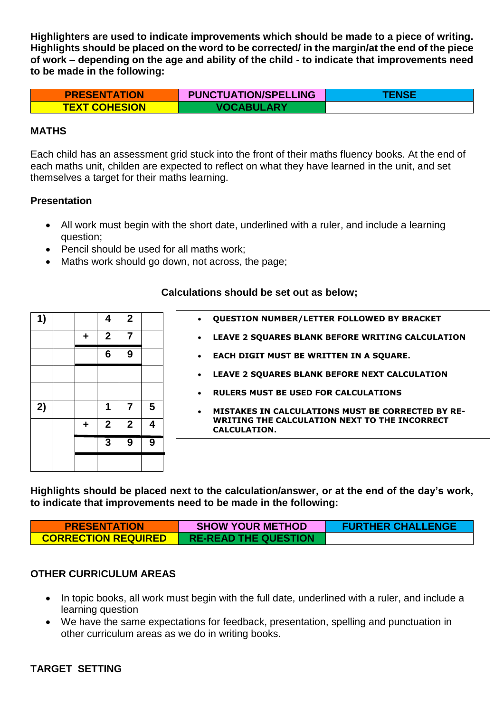**Highlighters are used to indicate improvements which should be made to a piece of writing. Highlights should be placed on the word to be corrected/ in the margin/at the end of the piece of work – depending on the age and ability of the child - to indicate that improvements need to be made in the following:**

| <b>PRESENTATION</b>  | <b>PUNCTUATION/SPELLING</b> | <b>TENSEL</b> |
|----------------------|-----------------------------|---------------|
| <b>TEXT COHESION</b> | <b>VOCABULARY</b>           |               |

#### **MATHS**

Each child has an assessment grid stuck into the front of their maths fluency books. At the end of each maths unit, childen are expected to reflect on what they have learned in the unit, and set themselves a target for their maths learning.

#### **Presentation**

- All work must begin with the short date, underlined with a ruler, and include a learning question;
- Pencil should be used for all maths work;
- Maths work should go down, not across, the page;

| 1) |   | 4            | $\mathbf{2}$ |   | <b>QUESTION NUMBER/LETTER FOLLOWED BY BRACKET</b>                    |
|----|---|--------------|--------------|---|----------------------------------------------------------------------|
|    | ٠ | $\mathbf{2}$ |              |   | LEAVE 2 SQUARES BLANK BEFORE WRITING CALCULATION                     |
|    |   | 6            | 9            |   | EACH DIGIT MUST BE WRITTEN IN A SQUARE.                              |
|    |   |              |              |   | LEAVE 2 SOUARES BLANK BEFORE NEXT CALCULATION                        |
|    |   |              |              |   | <b>RULERS MUST BE USED FOR CALCULATIONS</b>                          |
| 2) |   |              |              | 5 | <b>MISTAKES IN CALCULATIONS MUST BE CORRECTED BY RE-</b>             |
|    | ٠ | $\mathbf{2}$ | $\mathbf{p}$ | 4 | WRITING THE CALCULATION NEXT TO THE INCORRECT<br><b>CALCULATION.</b> |
|    |   | 3            | 9            | 9 |                                                                      |
|    |   |              |              |   |                                                                      |

#### **Calculations should be set out as below;**

**Highlights should be placed next to the calculation/answer, or at the end of the day's work, to indicate that improvements need to be made in the following:**

| <b>PRESENTATION</b>        | <b>SHOW YOUR METHOD</b>     | <b>FURTHER CHALLENGE</b> |
|----------------------------|-----------------------------|--------------------------|
| <b>CORRECTION REQUIRED</b> | <b>RE-READ THE QUESTION</b> |                          |

#### **OTHER CURRICULUM AREAS**

- In topic books, all work must begin with the full date, underlined with a ruler, and include a learning question
- We have the same expectations for feedback, presentation, spelling and punctuation in other curriculum areas as we do in writing books.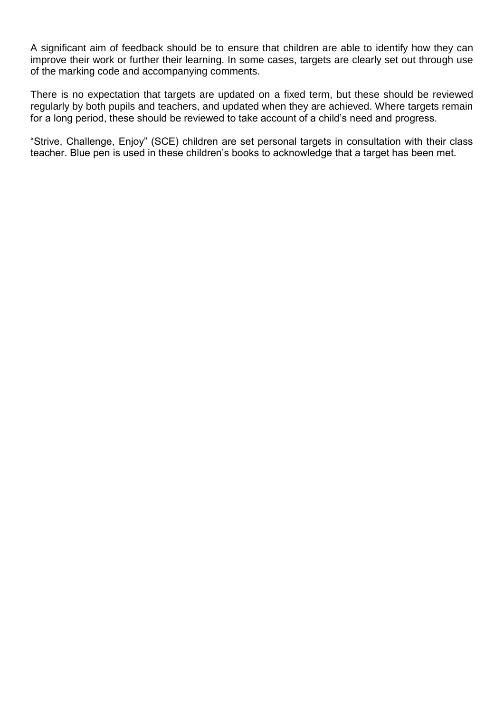A significant aim of feedback should be to ensure that children are able to identify how they can improve their work or further their learning. In some cases, targets are clearly set out through use of the marking code and accompanying comments.

There is no expectation that targets are updated on a fixed term, but these should be reviewed regularly by both pupils and teachers, and updated when they are achieved. Where targets remain for a long period, these should be reviewed to take account of a child's need and progress.

"Strive, Challenge, Enjoy" (SCE) children are set personal targets in consultation with their class teacher. Blue pen is used in these children's books to acknowledge that a target has been met.